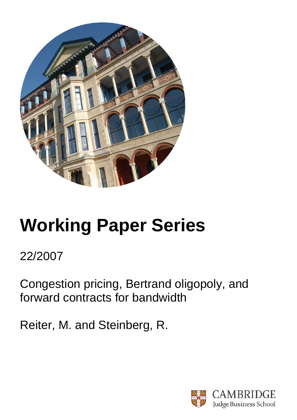

# **Working Paper Series**

## 22/2007

Congestion pricing, Bertrand oligopoly, and forward contracts for bandwidth

Reiter, M. and Steinberg, R.

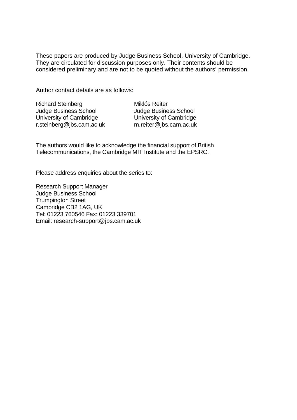These papers are produced by Judge Business School, University of Cambridge. They are circulated for discussion purposes only. Their contents should be considered preliminary and are not to be quoted without the authors' permission.

Author contact details are as follows:

| <b>Richard Steinberg</b>     |
|------------------------------|
| <b>Judge Business School</b> |
| University of Cambridge      |
| r.steinberg@jbs.cam.ac.uk    |

Miklós Reiter Judge Business School University of Cambridge m.reiter@jbs.cam.ac.uk

The authors would like to acknowledge the financial support of British Telecommunications, the Cambridge MIT Institute and the EPSRC.

Please address enquiries about the series to:

Research Support Manager Judge Business School Trumpington Street Cambridge CB2 1AG, UK Tel: 01223 760546 Fax: 01223 339701 Email: research-support@jbs.cam.ac.uk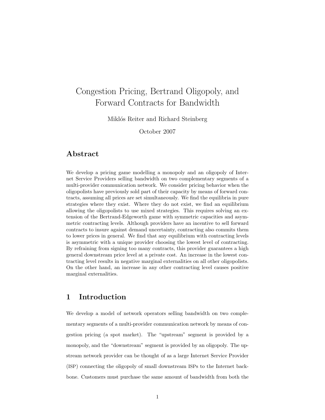### Congestion Pricing, Bertrand Oligopoly, and Forward Contracts for Bandwidth

Miklós Reiter and Richard Steinberg

October 2007

#### Abstract

We develop a pricing game modelling a monopoly and an oligopoly of Internet Service Providers selling bandwidth on two complementary segments of a multi-provider communication network. We consider pricing behavior when the oligopolists have previously sold part of their capacity by means of forward contracts, assuming all prices are set simultaneously. We find the equilibria in pure strategies where they exist. Where they do not exist, we find an equilibrium allowing the oligopolists to use mixed strategies. This requires solving an extension of the Bertrand-Edgeworth game with symmetric capacities and asymmetric contracting levels. Although providers have an incentive to sell forward contracts to insure against demand uncertainty, contracting also commits them to lower prices in general. We find that any equilibrium with contracting levels is asymmetric with a unique provider choosing the lowest level of contracting. By refraining from signing too many contracts, this provider guarantees a high general downstream price level at a private cost. An increase in the lowest contracting level results in negative marginal externalities on all other oligopolists. On the other hand, an increase in any other contracting level causes positive marginal externalities.

#### 1 Introduction

We develop a model of network operators selling bandwidth on two complementary segments of a multi-provider communication network by means of congestion pricing (a spot market). The "upstream" segment is provided by a monopoly, and the "downstream" segment is provided by an oligopoly. The upstream network provider can be thought of as a large Internet Service Provider (ISP) connecting the oligopoly of small downstream ISPs to the Internet backbone. Customers must purchase the same amount of bandwidth from both the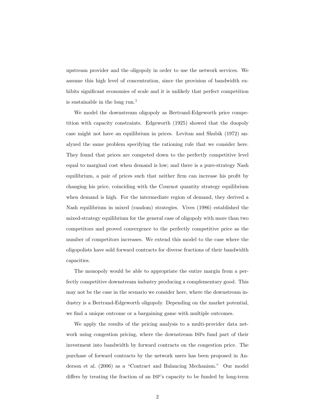upstream provider and the oligopoly in order to use the network services. We assume this high level of concentration, since the provision of bandwidth exhibits significant economies of scale and it is unlikely that perfect competition is sustainable in the long run.<sup>1</sup>

We model the downstream oligopoly as Bertrand-Edgeworth price competition with capacity constraints. Edgeworth (1925) showed that the duopoly case might not have an equilibrium in prices. Levitan and Shubik (1972) analyzed the same problem specifying the rationing rule that we consider here. They found that prices are competed down to the perfectly competitive level equal to marginal cost when demand is low; and there is a pure-strategy Nash equilibrium, a pair of prices such that neither firm can increase his profit by changing his price, coinciding with the Cournot quantity strategy equilibrium when demand is high. For the intermediate region of demand, they derived a Nash equilibrium in mixed (random) strategies. Vives (1986) established the mixed-strategy equilibrium for the general case of oligopoly with more than two competitors and proved convergence to the perfectly competitive price as the number of competitors increases. We extend this model to the case where the oligopolists have sold forward contracts for diverse fractions of their bandwidth capacities.

The monopoly would be able to appropriate the entire margin from a perfectly competitive downstream industry producing a complementary good. This may not be the case in the scenario we consider here, where the downstream industry is a Bertrand-Edgeworth oligopoly. Depending on the market potential, we find a unique outcome or a bargaining game with multiple outcomes.

We apply the results of the pricing analysis to a multi-provider data network using congestion pricing, where the downstream ISPs fund part of their investment into bandwidth by forward contracts on the congestion price. The purchase of forward contracts by the network users has been proposed in Anderson et al. (2006) as a "Contract and Balancing Mechanism." Our model differs by treating the fraction of an ISP's capacity to be funded by long-term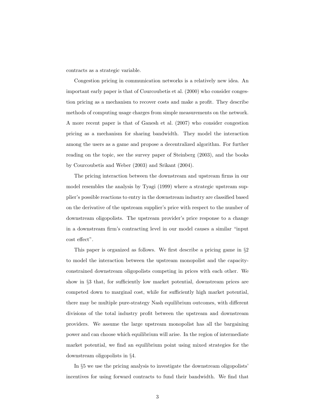contracts as a strategic variable.

Congestion pricing in communication networks is a relatively new idea. An important early paper is that of Courcoubetis et al. (2000) who consider congestion pricing as a mechanism to recover costs and make a profit. They describe methods of computing usage charges from simple measurements on the network. A more recent paper is that of Ganesh et al. (2007) who consider congestion pricing as a mechanism for sharing bandwidth. They model the interaction among the users as a game and propose a decentralized algorithm. For further reading on the topic, see the survey paper of Steinberg (2003), and the books by Courcoubetis and Weber (2003) and Srikant (2004).

The pricing interaction between the downstream and upstream firms in our model resembles the analysis by Tyagi (1999) where a strategic upstream supplier's possible reactions to entry in the downstream industry are classified based on the derivative of the upstream supplier's price with respect to the number of downstream oligopolists. The upstream provider's price response to a change in a downstream firm's contracting level in our model causes a similar "input cost effect".

This paper is organized as follows. We first describe a pricing game in §2 to model the interaction between the upstream monopolist and the capacityconstrained downstream oligopolists competing in prices with each other. We show in §3 that, for sufficiently low market potential, downstream prices are competed down to marginal cost, while for sufficiently high market potential, there may be multiple pure-strategy Nash equilibrium outcomes, with different divisions of the total industry profit between the upstream and downstream providers. We assume the large upstream monopolist has all the bargaining power and can choose which equilibrium will arise. In the region of intermediate market potential, we find an equilibrium point using mixed strategies for the downstream oligopolists in §4.

In §5 we use the pricing analysis to investigate the downstream oligopolists' incentives for using forward contracts to fund their bandwidth. We find that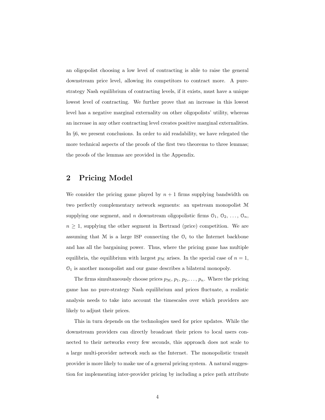an oligopolist choosing a low level of contracting is able to raise the general downstream price level, allowing its competitors to contract more. A purestrategy Nash equilibrium of contracting levels, if it exists, must have a unique lowest level of contracting. We further prove that an increase in this lowest level has a negative marginal externality on other oligopolists' utility, whereas an increase in any other contracting level creates positive marginal externalities. In §6, we present conclusions. In order to aid readability, we have relegated the more technical aspects of the proofs of the first two theorems to three lemmas; the proofs of the lemmas are provided in the Appendix.

#### 2 Pricing Model

We consider the pricing game played by  $n + 1$  firms supplying bandwidth on two perfectly complementary network segments: an upstream monopolist M supplying one segment, and *n* downstream oligopolistic firms  $O_1, O_2, \ldots, O_n$ ,  $n \geq 1$ , supplying the other segment in Bertrand (price) competition. We are assuming that  $M$  is a large ISP connecting the  $O_i$  to the Internet backbone and has all the bargaining power. Thus, where the pricing game has multiple equilibria, the equilibrium with largest  $p_M$  arises. In the special case of  $n = 1$ ,  $\mathcal{O}_1$  is another monopolist and our game describes a bilateral monopoly.

The firms simultaneously choose prices  $p_M$ ,  $p_1$ ,  $p_2$ ,...,  $p_n$ . Where the pricing game has no pure-strategy Nash equilibrium and prices fluctuate, a realistic analysis needs to take into account the timescales over which providers are likely to adjust their prices.

This in turn depends on the technologies used for price updates. While the downstream providers can directly broadcast their prices to local users connected to their networks every few seconds, this approach does not scale to a large multi-provider network such as the Internet. The monopolistic transit provider is more likely to make use of a general pricing system. A natural suggestion for implementing inter-provider pricing by including a price path attribute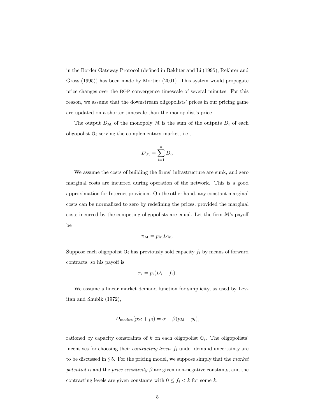in the Border Gateway Protocol (defined in Rekhter and Li (1995), Rekhter and Gross (1995)) has been made by Mortier (2001). This system would propagate price changes over the BGP convergence timescale of several minutes. For this reason, we assume that the downstream oligopolists' prices in our pricing game are updated on a shorter timescale than the monopolist's price.

The output  $D_{\mathcal{M}}$  of the monopoly M is the sum of the outputs  $D_i$  of each oligopolist  $\mathcal{O}_i$  serving the complementary market, i.e.,

$$
D_{\mathcal{M}} = \sum_{i=1}^{n} D_i.
$$

We assume the costs of building the firms' infrastructure are sunk, and zero marginal costs are incurred during operation of the network. This is a good approximation for Internet provision. On the other hand, any constant marginal costs can be normalized to zero by redefining the prices, provided the marginal costs incurred by the competing oligopolists are equal. Let the firm  $\mathcal{M}$ 's payoff be

$$
\pi_{\mathcal{M}} = p_{\mathcal{M}} D_{\mathcal{M}}.
$$

Suppose each oligopolist  $O_i$  has previously sold capacity  $f_i$  by means of forward contracts, so his payoff is

$$
\pi_i = p_i(D_i - f_i).
$$

We assume a linear market demand function for simplicity, as used by Levitan and Shubik (1972),

$$
D_{\text{market}}(p_{\mathcal{M}} + p_i) = \alpha - \beta(p_{\mathcal{M}} + p_i),
$$

rationed by capacity constraints of  $k$  on each oligopolist  $\mathcal{O}_i$ . The oligopolists' incentives for choosing their *contracting levels*  $f_i$  under demand uncertainty are to be discussed in  $\S 5$ . For the pricing model, we suppose simply that the market potential  $\alpha$  and the price sensitivity  $\beta$  are given non-negative constants, and the contracting levels are given constants with  $0 \le f_i < k$  for some k.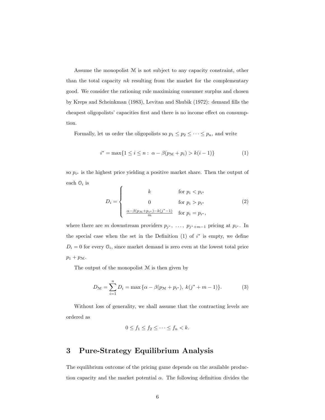Assume the monopolist M is not subject to any capacity constraint, other than the total capacity  $nk$  resulting from the market for the complementary good. We consider the rationing rule maximizing consumer surplus and chosen by Kreps and Scheinkman (1983), Levitan and Shubik (1972): demand fills the cheapest oligopolists' capacities first and there is no income effect on consumption.

Formally, let us order the oligopolists so  $p_1 \leq p_2 \leq \cdots \leq p_n$ , and write

$$
i^* = \max\{1 \le i \le n : \ \alpha - \beta(p_{\mathcal{M}} + p_i) > k(i-1)\}\tag{1}
$$

so  $p_{i^*}$  is the highest price yielding a positive market share. Then the output of each  $\mathcal{O}_i$  is  $\epsilon$ 

$$
D_i = \begin{cases} k & \text{for } p_i < p_{i^*} \\ 0 & \text{for } p_i > p_{i^*} \\ \frac{\alpha - \beta(p_{\mathcal{M}} + p_{i^*}) - k(j^* - 1)}{m} & \text{for } p_i = p_{i^*}, \end{cases} \tag{2}
$$

where there are m downstream providers  $p_{j^*}, \ldots, p_{j^*+m-1}$  pricing at  $p_{i^*}$ . In the special case when the set in the Definition  $(1)$  of  $i^*$  is empty, we define  $D_i = 0$  for every  $\mathcal{O}_i$ , since market demand is zero even at the lowest total price  $p_1 + p_{\mathcal{M}}.$ 

The output of the monopolist M is then given by

$$
D_{\mathcal{M}} = \sum_{i=1}^{n} D_i = \max \{ \alpha - \beta (p_{\mathcal{M}} + p_{i^*}), \ k(j^* + m - 1) \}.
$$
 (3)

Without loss of generality, we shall assume that the contracting levels are ordered as

$$
0 \le f_1 \le f_2 \le \cdots \le f_n < k.
$$

#### 3 Pure-Strategy Equilibrium Analysis

The equilibrium outcome of the pricing game depends on the available production capacity and the market potential  $\alpha$ . The following definition divides the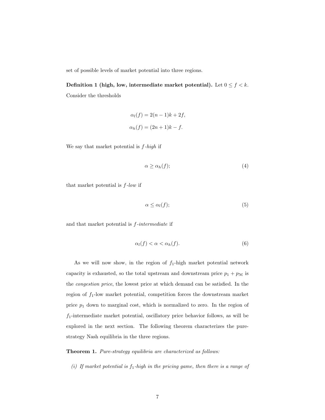set of possible levels of market potential into three regions.

Definition 1 (high, low, intermediate market potential). Let  $0 \le f < k$ . Consider the thresholds

$$
\alpha_l(f) = 2(n-1)k + 2f,
$$
  

$$
\alpha_h(f) = (2n+1)k - f.
$$

We say that market potential is  $f$ -high if

$$
\alpha \ge \alpha_h(f); \tag{4}
$$

that market potential is  $f$ -low if

$$
\alpha \le \alpha_l(f); \tag{5}
$$

and that market potential is  $f\text{-}intermediate$  if

$$
\alpha_l(f) < \alpha < \alpha_h(f). \tag{6}
$$

As we will now show, in the region of  $f_1$ -high market potential network capacity is exhausted, so the total upstream and downstream price  $p_1 + p_{\mathcal{M}}$  is the congestion price, the lowest price at which demand can be satisfied. In the region of  $f_1$ -low market potential, competition forces the downstream market price  $p_1$  down to marginal cost, which is normalized to zero. In the region of  $f_1$ -intermediate market potential, oscillatory price behavior follows, as will be explored in the next section. The following theorem characterizes the purestrategy Nash equilibria in the three regions.

Theorem 1. Pure-strategy equilibria are characterized as follows:

(i) If market potential is  $f_1$ -high in the pricing game, then there is a range of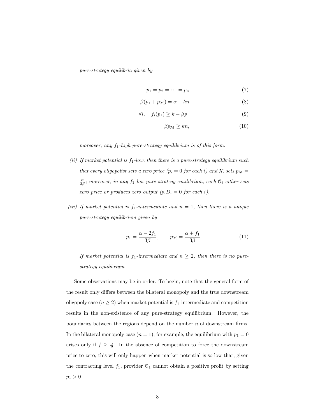pure-strategy equilibria given by

$$
p_1 = p_2 = \dots = p_n \tag{7}
$$

$$
\beta(p_1 + p_\mathcal{M}) = \alpha - kn \tag{8}
$$

$$
\forall i, \quad f_i(p_1) \ge k - \beta p_1 \tag{9}
$$

$$
\beta p_{\mathcal{M}} \ge kn,\tag{10}
$$

moreover, any  $f_1$ -high pure-strategy equilibrium is of this form.

- (ii) If market potential is  $f_1$ -low, then there is a pure-strategy equilibrium such that every oligopolist sets a zero price  $(p_i = 0$  for each i) and M sets  $p_M =$  $\frac{\alpha}{2\beta}$ ; moreover, in any f<sub>1</sub>-low pure-strategy equilibrium, each  $\mathcal{O}_i$  either sets zero price or produces zero output  $(p_i D_i = 0$  for each i).
- (iii) If market potential is  $f_1$ -intermediate and  $n = 1$ , then there is a unique pure-strategy equilibrium given by

$$
p_1 = \frac{\alpha - 2f_1}{3\beta}, \qquad p_{\mathcal{M}} = \frac{\alpha + f_1}{3\beta}.
$$
 (11)

If market potential is  $f_1$ -intermediate and  $n \geq 2$ , then there is no purestrategy equilibrium.

Some observations may be in order. To begin, note that the general form of the result only differs between the bilateral monopoly and the true downstream oligopoly case  $(n \geq 2)$  when market potential is  $f_1$ -intermediate and competition results in the non-existence of any pure-strategy equilibrium. However, the boundaries between the regions depend on the number  $n$  of downstream firms. In the bilateral monopoly case  $(n = 1)$ , for example, the equilibrium with  $p_1 = 0$ arises only if  $f \geq \frac{\alpha}{2}$ . In the absence of competition to force the downstream price to zero, this will only happen when market potential is so low that, given the contracting level  $f_1$ , provider  $\mathcal{O}_1$  cannot obtain a positive profit by setting  $p_1 > 0.$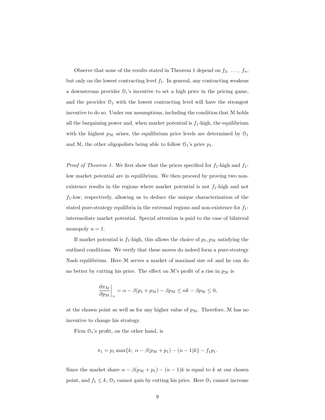Observe that none of the results stated in Theorem 1 depend on  $f_2, \ldots, f_n$ , but only on the lowest contracting level  $f_1$ . In general, any contracting weakens a downstream provider  $O_i$ 's incentive to set a high price in the pricing game, and the provider  $O_1$  with the lowest contracting level will have the strongest incentive to do so. Under our assumptions, including the condition that M holds all the bargaining power and, when market potential is  $f_1$ -high, the equilibrium with the highest  $p_M$  arises, the equilibrium price levels are determined by  $\mathcal{O}_1$ and M, the other oligopolists being able to follow  $\mathcal{O}_1$ 's price  $p_1$ .

*Proof of Theorem 1.* We first show that the prices specified for  $f_1$ -high and  $f_1$ low market potential are in equilibrium. We then proceed by proving two nonexistence results in the regions where market potential is not  $f_1$ -high and not  $f_1$ -low, respectively, allowing us to deduce the unique characterization of the stated pure-strategy equilibria in the extremal regions and non-existence for  $f_1$ intermediate market potential. Special attention is paid to the case of bilateral monopoly  $n = 1$ .

If market potential is  $f_1$ -high, this allows the choice of  $p_1, p_M$  satisfying the outlined conditions. We verify that these moves do indeed form a pure-strategy Nash equilibrium. Here  $M$  serves a market of maximal size  $nk$  and he can do no better by cutting his price. The effect on  $\mathcal{M}$ 's profit of a rise in  $p_{\mathcal{M}}$  is

$$
\left. \frac{\partial \pi_{\mathcal{M}}}{\partial p_{\mathcal{M}}} \right|_{+} = \alpha - \beta(p_1 + p_{\mathcal{M}}) - \beta p_{\mathcal{M}} \leq n k - \beta p_{\mathcal{M}} \leq 0,
$$

at the chosen point as well as for any higher value of  $p_{\mathcal{M}}$ . Therefore,  $\mathcal M$  has no incentive to change his strategy.

Firm  $O_1$ 's profit, on the other hand, is

$$
\pi_1 = p_1 \max\{k; \ \alpha - \beta(p_{\mathcal{M}} + p_1) - (n-1)k\} - f_1 p_1.
$$

Since the market share  $\alpha - \beta(p_{\mathcal{M}} + p_1) - (n-1)k$  is equal to k at our chosen point, and  $f_1 \leq k$ ,  $\mathcal{O}_1$  cannot gain by cutting his price. Here  $\mathcal{O}_1$  cannot increase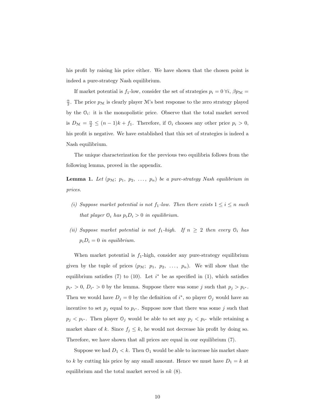his profit by raising his price either. We have shown that the chosen point is indeed a pure-strategy Nash equilibrium.

If market potential is  $f_1$ -low, consider the set of strategies  $p_i = 0 \forall i, \beta p_{\mathcal{M}} =$  $\frac{\alpha}{2}$ . The price  $p_{\mathcal{M}}$  is clearly player  $\mathcal{M}$ 's best response to the zero strategy played by the  $\mathcal{O}_i$ : it is the monopolistic price. Observe that the total market served is  $D_{\mathcal{M}} = \frac{\alpha}{2} \leq (n-1)k + f_1$ . Therefore, if  $\mathcal{O}_i$  chooses any other price  $p_i > 0$ , his profit is negative. We have established that this set of strategies is indeed a Nash equilibrium.

The unique characterization for the previous two equilibria follows from the following lemma, proved in the appendix.

**Lemma 1.** Let  $(p_{\mathcal{M}}; p_1, p_2, \ldots, p_n)$  be a pure-strategy Nash equilibrium in prices.

- (i) Suppose market potential is not  $f_1$ -low. Then there exists  $1 \leq i \leq n$  such that player  $\mathcal{O}_i$  has  $p_i D_i > 0$  in equilibrium.
- (ii) Suppose market potential is not  $f_1$ -high. If  $n \geq 2$  then every  $\mathcal{O}_i$  has  $p_iD_i = 0$  in equilibrium.

When market potential is  $f_1$ -high, consider any pure-strategy equilibrium given by the tuple of prices  $(p_{\mathcal{M}}; p_1, p_2, \ldots, p_n)$ . We will show that the equilibrium satisfies (7) to (10). Let  $i^*$  be as specified in (1), which satisfies  $p_{i^*} > 0, D_{i^*} > 0$  by the lemma. Suppose there was some j such that  $p_j > p_{i^*}$ . Then we would have  $D_j = 0$  by the definition of  $i^*$ , so player  $\mathcal{O}_j$  would have an incentive to set  $p_j$  equal to  $p_{i^*}$ . Suppose now that there was some j such that  $p_j < p_{i^*}$ . Then player  $\mathcal{O}_j$  would be able to set any  $p_j < p_{i^*}$  while retaining a market share of k. Since  $f_j \leq k$ , he would not decrease his profit by doing so. Therefore, we have shown that all prices are equal in our equilibrium (7).

Suppose we had  $D_1 < k$ . Then  $\mathcal{O}_1$  would be able to increase his market share to k by cutting his price by any small amount. Hence we must have  $D_1 = k$  at equilibrium and the total market served is  $nk$  (8).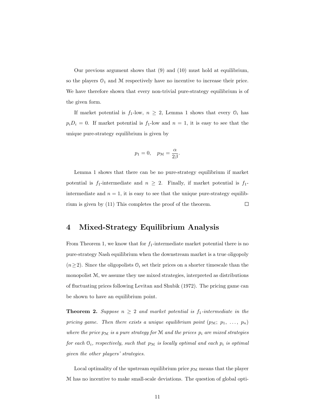Our previous argument shows that (9) and (10) must hold at equilibrium, so the players  $O_1$  and  $M$  respectively have no incentive to increase their price. We have therefore shown that every non-trivial pure-strategy equilibrium is of the given form.

If market potential is  $f_1$ -low,  $n \geq 2$ , Lemma 1 shows that every  $\mathcal{O}_i$  has  $p_iD_i = 0$ . If market potential is  $f_1$ -low and  $n = 1$ , it is easy to see that the unique pure-strategy equilibrium is given by

$$
p_1 = 0, \quad p_{\mathcal{M}} = \frac{\alpha}{2\beta}.
$$

Lemma 1 shows that there can be no pure-strategy equilibrium if market potential is  $f_1$ -intermediate and  $n \geq 2$ . Finally, if market potential is  $f_1$ intermediate and  $n = 1$ , it is easy to see that the unique pure-strategy equilibrium is given by (11) This completes the proof of the theorem.  $\Box$ 

#### 4 Mixed-Strategy Equilibrium Analysis

From Theorem 1, we know that for  $f_1$ -intermediate market potential there is no pure-strategy Nash equilibrium when the downstream market is a true oligopoly  $(n\geq 2)$ . Since the oligopolists  $\mathcal{O}_i$  set their prices on a shorter timescale than the monopolist M, we assume they use mixed strategies, interpreted as distributions of fluctuating prices following Levitan and Shubik (1972). The pricing game can be shown to have an equilibrium point.

**Theorem 2.** Suppose  $n \geq 2$  and market potential is  $f_1$ -intermediate in the pricing game. Then there exists a unique equilibrium point  $(p_M; p_1, \ldots, p_n)$ where the price  $p_M$  is a pure strategy for M and the prices  $p_i$  are mixed strategies for each  $\mathcal{O}_i$ , respectively, such that  $p_{\mathcal{M}}$  is locally optimal and each  $p_i$  is optimal given the other players' strategies.

Local optimality of the upstream equilibrium price  $p_M$  means that the player M has no incentive to make small-scale deviations. The question of global opti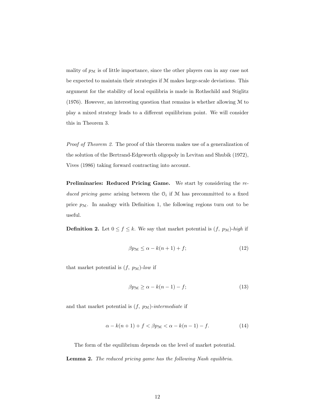mality of  $p_{\mathcal{M}}$  is of little importance, since the other players can in any case not be expected to maintain their strategies if M makes large-scale deviations. This argument for the stability of local equilibria is made in Rothschild and Stiglitz (1976). However, an interesting question that remains is whether allowing M to play a mixed strategy leads to a different equilibrium point. We will consider this in Theorem 3.

Proof of Theorem 2. The proof of this theorem makes use of a generalization of the solution of the Bertrand-Edgeworth oligopoly in Levitan and Shubik (1972), Vives (1986) taking forward contracting into account.

Preliminaries: Reduced Pricing Game. We start by considering the reduced pricing game arising between the  $\mathcal{O}_i$  if M has precommitted to a fixed price  $p_{\mathcal{M}}$ . In analogy with Definition 1, the following regions turn out to be useful.

**Definition 2.** Let  $0 \le f \le k$ . We say that market potential is  $(f, p_M)$ -high if

$$
\beta p_{\mathcal{M}} \le \alpha - k(n+1) + f; \tag{12}
$$

that market potential is  $(f, p_M)$ -low if

$$
\beta p_{\mathcal{M}} \ge \alpha - k(n-1) - f; \tag{13}
$$

and that market potential is  $(f, p_M)$ -intermediate if

$$
\alpha - k(n+1) + f < \beta p_{\mathcal{M}} < \alpha - k(n-1) - f. \tag{14}
$$

The form of the equilibrium depends on the level of market potential.

Lemma 2. The reduced pricing game has the following Nash equilibria.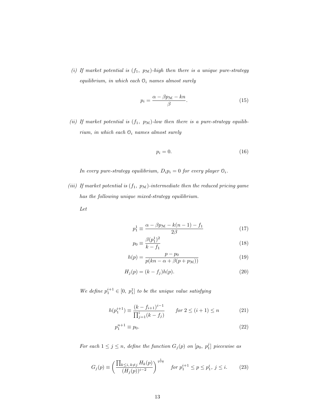(i) If market potential is  $(f_1, p_M)$ -high then there is a unique pure-strategy equilibrium, in which each  $\mathcal{O}_i$  names almost surely

$$
p_i = \frac{\alpha - \beta p_{\mathcal{M}} - kn}{\beta}.
$$
\n(15)

(ii) If market potential is  $(f_1, p_M)$ -low then there is a pure-strategy equilibrium, in which each  $O_i$  names almost surely

$$
p_i = 0.\t\t(16)
$$

In every pure-strategy equilibrium,  $D_ip_i=0$  for every player  $\mathbb{O}_i.$ 

(iii) If market potential is  $(f_1, p_M)$ -intermediate then the reduced pricing game has the following unique mixed-strategy equilibrium.

Let

$$
p_1^1 \equiv \frac{\alpha - \beta p_{\mathcal{M}} - k(n-1) - f_1}{2\beta} \tag{17}
$$

$$
p_0 \equiv \frac{\beta(p_1^1)^2}{k - f_1} \tag{18}
$$

$$
h(p) = \frac{p - p_0}{p(kn - \alpha + \beta(p + p_{\mathcal{M}}))}
$$
\n(19)

$$
H_j(p) = (k - f_j)h(p). \tag{20}
$$

We define  $p_1^{i+1} \in [0, p_1^1]$  to be the unique value satisfying

$$
h(p_1^{i+1}) \equiv \frac{(k - f_{i+1})^{i-1}}{\prod_{j=1}^i (k - f_j)} \qquad \text{for } 2 \le (i+1) \le n \tag{21}
$$

$$
p_1^{n+1} \equiv p_0. \tag{22}
$$

For each  $1 \leq j \leq n$ , define the function  $G_j(p)$  on  $[p_0, p_1^j]$  piecewise as

$$
G_j(p) \equiv \left(\frac{\prod_{k \le i, \, k \ne j} H_k(p)}{(H_j(p))^{i-2}}\right)^{\frac{1}{i-1}} \quad \text{for } p_1^{i+1} \le p \le p_1^i, \, j \le i. \tag{23}
$$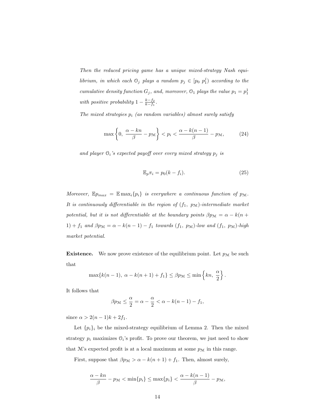Then the reduced pricing game has a unique mixed-strategy Nash equilibrium, in which each  $\mathcal{O}_j$  plays a random  $p_j \in [p_0 \; p_1^j)$  according to the cumulative density function  $G_j$ , and, moreover,  $\mathfrak{O}_1$  plays the value  $p_1 = p_1^1$ with positive probability  $1 - \frac{k - f_2}{k - f_1}$ .

The mixed strategies  $p_i$  (as random variables) almost surely satisfy

$$
\max\left\{0, \frac{\alpha - kn}{\beta} - p_{\mathcal{M}}\right\} < p_i < \frac{\alpha - k(n-1)}{\beta} - p_{\mathcal{M}},\tag{24}
$$

and player  $\mathcal{O}_i$ 's expected payoff over every mixed strategy  $p_i$  is

$$
\mathbb{E}_p \pi_i = p_0(k - f_i). \tag{25}
$$

Moreover,  $\mathbb{E}_{p_{max}} = \mathbb{E}_{max_{i}}\{p_i\}$  is everywhere a continuous function of  $p_{\mathcal{M}}$ . It is continuously differentiable in the region of  $(f_1, p_M)$ -intermediate market potential, but it is not differentiable at the boundary points  $\beta p_M = \alpha - k(n +$ 1) + f<sub>1</sub> and  $\beta p_{\mathcal{M}} = \alpha - k(n-1) - f_1$  towards  $(f_1, p_{\mathcal{M}})$ -low and  $(f_1, p_{\mathcal{M}})$ -high market potential.

**Existence.** We now prove existence of the equilibrium point. Let  $p_M$  be such that

$$
\max\{k(n-1), \ \alpha - k(n+1) + f_1\} \le \beta p_{\mathcal{M}} \le \min\left\{kn, \ \frac{\alpha}{2}\right\}.
$$

It follows that

$$
\beta p_{\mathcal{M}} \leq \frac{\alpha}{2} = \alpha - \frac{\alpha}{2} < \alpha - k(n-1) - f_1,
$$

since  $\alpha > 2(n-1)k + 2f_1$ .

Let  $\{p_i\}_i$  be the mixed-strategy equilibrium of Lemma 2. Then the mixed strategy  $p_i$  maximizes  $\mathcal{O}_i$ 's profit. To prove our theorem, we just need to show that  $M$ 's expected profit is at a local maximum at some  $p_M$  in this range.

First, suppose that  $\beta p_{\mathcal{M}} > \alpha - k(n+1) + f_1$ . Then, almost surely,

$$
\frac{\alpha - kn}{\beta} - p_{\mathcal{M}} < \min\{p_i\} \le \max\{p_i\} < \frac{\alpha - k(n-1)}{\beta} - p_{\mathcal{M}},
$$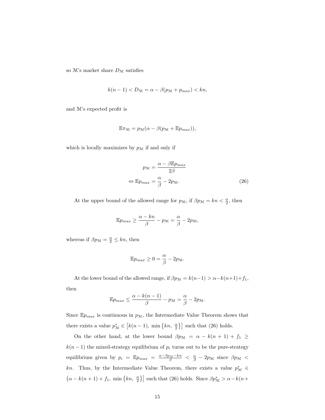so M's market share  $D_{\mathcal{M}}$  satisfies

$$
k(n-1) < D_{\mathcal{M}} = \alpha - \beta(p_{\mathcal{M}} + p_{max}) < kn,
$$

and M's expected profit is

$$
\mathbb{E}\pi_{\mathcal{M}} = p_{\mathcal{M}}(\alpha - \beta(p_{\mathcal{M}} + \mathbb{E}p_{max})),
$$

which is locally maximizes by  $p_{\mathcal{M}}$  if and only if

$$
p_{\mathcal{M}} = \frac{\alpha - \beta \mathbb{E} p_{max}}{2\beta}
$$

$$
\Leftrightarrow \mathbb{E} p_{max} = \frac{\alpha}{\beta} - 2p_{\mathcal{M}}.
$$
(26)

At the upper bound of the allowed range for  $p_{\mathcal{M}}$ , if  $\beta p_{\mathcal{M}} = kn < \frac{\alpha}{2}$ , then

$$
\mathbb{E} p_{max} \ge \frac{\alpha - kn}{\beta} - p_{\mathcal{M}} = \frac{\alpha}{\beta} - 2p_{\mathcal{M}},
$$

whereas if  $\beta p_{\mathcal{M}} = \frac{\alpha}{2} \le kn$ , then

$$
\mathbb{E} p_{max} \ge 0 = \frac{\alpha}{\beta} - 2p_{\mathcal{M}}.
$$

At the lower bound of the allowed range, if  $\beta p_{\mathcal{M}} = k(n-1) > \alpha - k(n+1) + f_1,$ then

$$
\mathbb{E} p_{max} \le \frac{\alpha - k(n-1)}{\beta} - p_{\mathcal{M}} = \frac{\alpha}{\beta} - 2p_{\mathcal{M}}.
$$

Since  $\mathbb{E} p_{max}$  is continuous in  $p_{\mathcal{M}}$ , the Intermediate Value Theorem shows that there exists a value  $p_{\mathcal{M}}^* \in$  $\left[ k(n-1), \min \left\{ kn, \frac{\alpha}{2} \right\} \right]$  such that (26) holds.

On the other hand, at the lower bound  $\beta p_{\mathcal{M}} = \alpha - k(n + 1) + f_1 \geq$  $k(n-1)$  the mixed-strategy equilibrium of  $p_i$  turns out to be the pure-strategy equilibrium given by  $p_i = \mathbb{E} p_{max} = \frac{\alpha - \beta p_{\mathcal{M}} - k n}{\beta} < \frac{\alpha}{\beta} - 2p_{\mathcal{M}}$  since  $\beta p_{\mathcal{M}} <$ kn. Thus, by the Intermediate Value Theorem, there exists a value  $p_{\mathcal{M}}^* \in$  $(\alpha - k(n+1) + f_1, \min\{kn, \frac{\alpha}{2}\}]$  such that (26) holds. Since  $\beta p_{\mathcal{M}}^* > \alpha - k(n+1)$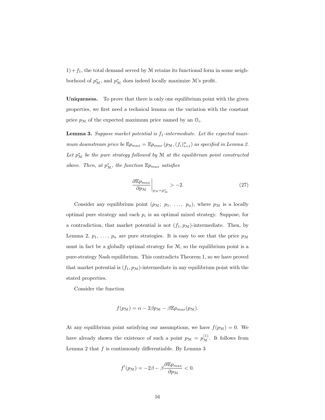$1)+f_1$ , the total demand served by M retains its functional form in some neighborhood of  $p_{\mathcal{M}}^*$ , and  $p_{\mathcal{M}}^*$  does indeed locally maximize  $\mathcal{M}$ 's profit.

Uniqueness. To prove that there is only one equilibrium point with the given properties, we first need a technical lemma on the variation with the constant price  $p_{\mathcal{M}}$  of the expected maximum price named by an  $\mathcal{O}_i$ .

**Lemma 3.** Suppose market potential is  $f_1$ -intermediate. Let the expected maximum downstream price be  $\mathbb{E} p_{max} = \mathbb{E} p_{max} (p_{\mathcal{M}}, (f_i)_{i=1}^n)$  as specified in Lemma 2. Let  $p_{\mathcal{M}}^*$  be the pure strategy followed by  $\mathcal M$  at the equilibrium point constructed above. Then, at  $p_{\mathcal{M}}^*$ , the function  $\mathbb{E} p_{max}$  satisfies

$$
\left. \frac{\partial \mathbb{E} p_{max}}{\partial p_{\mathcal{M}}} \right|_{p_{\mathcal{M}} = p_{\mathcal{M}}^*} > -2.
$$
 (27)

Consider any equilibrium point  $(p_{\mathcal{M}}; p_1, \ldots, p_n)$ , where  $p_{\mathcal{M}}$  is a locally optimal pure strategy and each  $p_i$  is an optimal mixed strategy. Suppose, for a contradiction, that market potential is not  $(f_1, p_M)$ -intermediate. Then, by Lemma 2,  $p_1, \ldots, p_n$  are pure strategies. It is easy to see that the price  $p_M$ must in fact be a globally optimal strategy for M, so the equilibrium point is a pure-strategy Nash equilibrium. This contradicts Theorem 1, so we have proved that market potential is  $(f_1, p_M)$ -intermediate in any equilibrium point with the stated properties.

Consider the function

$$
f(p_{\mathcal{M}}) = \alpha - 2\beta p_{\mathcal{M}} - \beta \mathbb{E} p_{max}(p_{\mathcal{M}}).
$$

At any equilibrium point satisfying our assumptions, we have  $f(p_M) = 0$ . We have already shown the existence of such a point  $p_{\mathcal{M}} = p_{\mathcal{M}}^{(1)}$ . It follows from Lemma 2 that  $f$  is continuously differentiable. By Lemma 3

$$
f'(p_{\mathcal{M}}) = -2\beta - \beta \frac{\partial \mathbb{E} p_{max}}{\partial p_{\mathcal{M}}} < 0.
$$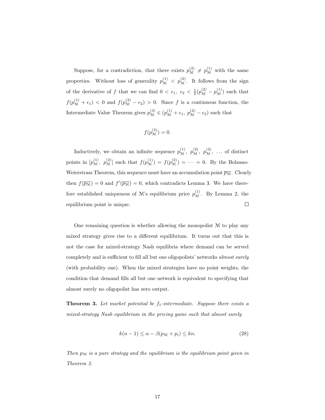Suppose, for a contradiction, that there exists  $p_{\mathcal{M}}^{(2)} \neq p_{\mathcal{M}}^{(1)}$  with the same properties. Without loss of generality  $p_{\mathcal{M}}^{(1)} < p_{\mathcal{M}}^{(2)}$ . It follows from the sign of the derivative of f that we can find  $0 < \epsilon_1$ ,  $\epsilon_2 < \frac{1}{2}(p_{\mathcal{M}}^{(2)} - p_{\mathcal{M}}^{(1)})$  such that  $f(p_{\mathcal{M}}^{(1)} + \epsilon_1) < 0$  and  $f(p_{\mathcal{M}}^{(2)} - \epsilon_2) > 0$ . Since f is a continuous function, the Intermediate Value Theorem gives  $p_{\mathcal{M}}^{(3)} \in (p_{\mathcal{M}}^{(1)} + \epsilon_1, p_{\mathcal{M}}^{(2)} - \epsilon_2)$  such that

$$
f(p_{\mathcal{M}}^{(3)})=0.
$$

Inductively, we obtain an infinite sequence  $p_{\mathcal{M}}^{(1)}$ ,  $p_{\mathcal{M}}^{(2)}$ ,  $p_{\mathcal{M}}^{(3)}$ , ... of distinct points in  $[p_{\mathcal{M}}^{(1)}, p_{\mathcal{M}}^{(2)}]$  such that  $f(p_{\mathcal{M}}^{(1)}) = f(p_{\mathcal{M}}^{(2)}) = \cdots = 0$ . By the Bolzano-Weierstrass Theorem, this sequence must have an accumulation point  $\overline{p_{\mathcal{M}}}$ . Clearly then  $f(\overline{p_{\mathcal{M}}}) = 0$  and  $f'(\overline{p_{\mathcal{M}}}) = 0$ , which contradicts Lemma 3. We have therefore established uniqueness of M's equilibrium price  $p_{\mathcal{M}}^{(1)}$ . By Lemma 2, the equilibrium point is unique.  $\Box$ 

One remaining question is whether allowing the monopolist  $\mathcal M$  to play any mixed strategy gives rise to a different equilibrium. It turns out that this is not the case for mixed-strategy Nash equilibria where demand can be served completely and is sufficient to fill all but one oligopolists' networks almost surely (with probability one). When the mixed strategies have no point weights, the condition that demand fills all but one network is equivalent to specifying that almost surely no oligopolist has zero output.

**Theorem 3.** Let market potential be  $f_1$ -intermediate. Suppose there exists a mixed-strategy Nash equilibrium in the pricing game such that almost surely

$$
k(n-1) \le \alpha - \beta(p_{\mathcal{M}} + p_i) \le kn. \tag{28}
$$

Then  $p_M$  is a pure strategy and the equilibrium is the equilibrium point given in Theorem 2.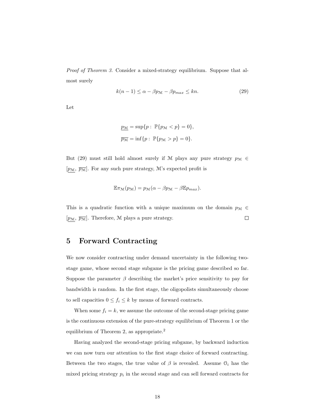Proof of Theorem 3. Consider a mixed-strategy equilibrium. Suppose that almost surely

$$
k(n-1) \le \alpha - \beta p_{\mathcal{M}} - \beta p_{max} \le kn. \tag{29}
$$

Let

$$
\underline{p_{\mathcal{M}}} = \sup\{p : \mathbb{P}\{p_{\mathcal{M}} < p\} = 0\},
$$
\n
$$
\overline{p_{\mathcal{M}}} = \inf\{p : \mathbb{P}\{p_{\mathcal{M}} > p\} = 0\}.
$$

But (29) must still hold almost surely if M plays any pure strategy  $p_{\mathcal{M}} \in$  $[p_{\mathcal{M}}, \overline{p_{\mathcal{M}}}]$ . For any such pure strategy, M's expected profit is

$$
\mathbb{E}\pi_{\mathcal{M}}(p_{\mathcal{M}}) = p_{\mathcal{M}}(\alpha - \beta p_{\mathcal{M}} - \beta \mathbb{E}p_{max}).
$$

This is a quadratic function with a unique maximum on the domain  $p_{\mathcal{M}} \in$  $[p_{\mathcal{M}}, \overline{p_{\mathcal{M}}}]$ . Therefore, M plays a pure strategy.  $\Box$ 

#### 5 Forward Contracting

We now consider contracting under demand uncertainty in the following twostage game, whose second stage subgame is the pricing game described so far. Suppose the parameter  $\beta$  describing the market's price sensitivity to pay for bandwidth is random. In the first stage, the oligopolists simultaneously choose to sell capacities  $0 \le f_i \le k$  by means of forward contracts.

When some  $f_i = k$ , we assume the outcome of the second-stage pricing game is the continuous extension of the pure-strategy equilibrium of Theorem 1 or the equilibrium of Theorem 2, as appropriate.<sup>2</sup>

Having analyzed the second-stage pricing subgame, by backward induction we can now turn our attention to the first stage choice of forward contracting. Between the two stages, the true value of  $\beta$  is revealed. Assume  $\mathcal{O}_i$  has the mixed pricing strategy  $p_i$  in the second stage and can sell forward contracts for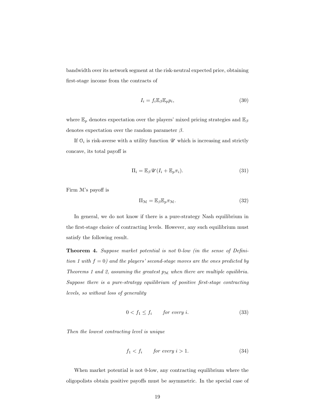bandwidth over its network segment at the risk-neutral expected price, obtaining first-stage income from the contracts of

$$
I_i = f_i \mathbb{E}_{\beta} \mathbb{E}_p p_i,\tag{30}
$$

where  $\mathbb{E}_p$  denotes expectation over the players' mixed pricing strategies and  $\mathbb{E}_\beta$ denotes expectation over the random parameter  $\beta$ .

If  $O_i$  is risk-averse with a utility function  $\mathscr U$  which is increasing and strictly concave, its total payoff is

$$
\Pi_i = \mathbb{E}_{\beta} \mathscr{U}(I_i + \mathbb{E}_p \pi_i). \tag{31}
$$

Firm M's payoff is

$$
\Pi_{\mathcal{M}} = \mathbb{E}_{\beta} \mathbb{E}_p \pi_{\mathcal{M}}.
$$
\n(32)

In general, we do not know if there is a pure-strategy Nash equilibrium in the first-stage choice of contracting levels. However, any such equilibrium must satisfy the following result.

Theorem 4. Suppose market potential is not 0-low (in the sense of Definition 1 with  $f = 0$ ) and the players' second-stage moves are the ones predicted by Theorems 1 and 2, assuming the greatest  $p_M$  when there are multiple equilibria. Suppose there is a pure-strategy equilibrium of positive first-stage contracting levels, so without loss of generality

$$
0 < f_1 \le f_i \qquad \text{for every } i. \tag{33}
$$

Then the lowest contracting level is unique

$$
f_1 < f_i \qquad \text{for every } i > 1. \tag{34}
$$

When market potential is not 0-low, any contracting equilibrium where the oligopolists obtain positive payoffs must be asymmetric. In the special case of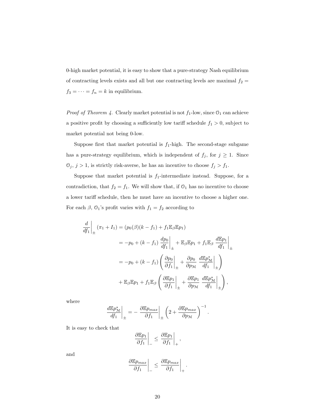0-high market potential, it is easy to show that a pure-strategy Nash equilibrium of contracting levels exists and all but one contracting levels are maximal  $f_2 =$  $f_3 = \cdots = f_n = k$  in equilibrium.

*Proof of Theorem 4.* Clearly market potential is not  $f_1$ -low, since  $O_1$  can achieve a positive profit by choosing a sufficiently low tariff schedule  $f_1 > 0$ , subject to market potential not being 0-low.

Suppose first that market potential is  $f_1$ -high. The second-stage subgame has a pure-strategy equilibrium, which is independent of  $f_j$ , for  $j \geq 1$ . Since  $\mathbb{O}_j,$   $j>1,$  is strictly risk-averse, he has an incentive to choose  $f_j>f_1.$ 

Suppose that market potential is  $f_1$ -intermediate instead. Suppose, for a contradiction, that  $f_2 = f_1$ . We will show that, if  $\mathcal{O}_1$  has no incentive to choose a lower tariff schedule, then he must have an incentive to choose a higher one. For each  $\beta$ ,  $\mathcal{O}_1$ 's profit varies with  $f_1 = f_2$  according to

$$
\frac{d}{df_1}\Big|_{\pm} (\pi_1 + I_1) = (p_0(\beta)(k - f_1) + f_1 \mathbb{E}_{\beta} \mathbb{E} p_1)
$$
  
\n
$$
= -p_0 + (k - f_1) \left. \frac{dp_0}{df_1}\right|_{\pm} + \mathbb{E}_{\beta} \mathbb{E} p_1 + f_1 \mathbb{E}_{\beta} \left. \frac{d\mathbb{E} p_1}{df_1}\right|_{\pm}
$$
  
\n
$$
= -p_0 + (k - f_1) \left( \left. \frac{\partial p_0}{\partial f_1}\right|_{\pm} + \left. \frac{\partial p_0}{\partial p_N} \left. \frac{d\mathbb{E} p_N^*}{df_1}\right|_{\pm} \right)
$$
  
\n
$$
+ \mathbb{E}_{\beta} \mathbb{E} p_1 + f_1 \mathbb{E}_{\beta} \left( \left. \frac{\partial \mathbb{E} p_1}{\partial f_1}\right|_{\pm} + \left. \frac{\partial \mathbb{E} p_1}{\partial p_N} \left. \frac{d\mathbb{E} p_N^*}{df_1}\right|_{\pm} \right),
$$

where

$$
\left. \frac{d \mathbb{E} p_{\mathcal{M}}^*}{df_1} \right|_{\pm} = - \left. \frac{\partial \mathbb{E} p_{max}}{\partial f_1} \right|_{\pm} \left( 2 + \frac{\partial \mathbb{E} p_{max}}{\partial p_{\mathcal{M}}} \right)^{-1}.
$$

It is easy to check that

$$
\left. \frac{\partial \mathbb{E} p_1}{\partial f_1} \right|_{-} \leq \left. \frac{\partial \mathbb{E} p_1}{\partial f_1} \right|_{+},
$$

and

$$
\frac{\partial \mathbb{E} p_{max}}{\partial f_1} \bigg|_{-} \leq \left. \frac{\partial \mathbb{E} p_{max}}{\partial f_1} \right|_{+}.
$$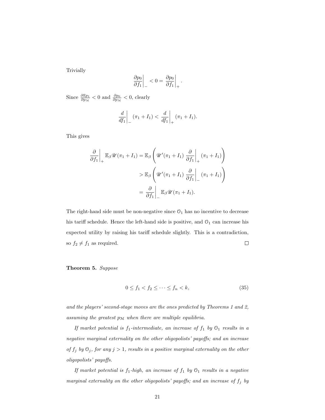Trivially

$$
\left. \frac{\partial p_0}{\partial f_1} \right|_{-} < 0 = \left. \frac{\partial p_0}{\partial f_1} \right|_{+}.
$$

Since  $\frac{\partial \mathbb{E}_{p_1}}{\partial p_{\mathcal{M}}} < 0$  and  $\frac{\partial p_0}{\partial p_{\mathcal{M}}} < 0$ , clearly

$$
\frac{d}{df_1}\bigg|_{-} (\pi_1 + I_1) < \frac{d}{df_1}\bigg|_{+} (\pi_1 + I_1).
$$

This gives

$$
\frac{\partial}{\partial f_1}\Big|_{+} \mathbb{E}_{\beta} \mathscr{U}(\pi_1 + I_1) = \mathbb{E}_{\beta} \left( \mathscr{U}'(\pi_1 + I_1) \frac{\partial}{\partial f_1}\Big|_{+} (\pi_1 + I_1) \right)
$$
  
> 
$$
\mathbb{E}_{\beta} \left( \mathscr{U}'(\pi_1 + I_1) \frac{\partial}{\partial f_1}\Big|_{-} (\pi_1 + I_1) \right)
$$
  
= 
$$
\frac{\partial}{\partial f_1}\Big|_{-} \mathbb{E}_{\beta} \mathscr{U}(\pi_1 + I_1).
$$

The right-hand side must be non-negative since  $\mathcal{O}_1$  has no incentive to decrease his tariff schedule. Hence the left-hand side is positive, and  $\mathcal{O}_1$  can increase his expected utility by raising his tariff schedule slightly. This is a contradiction, so  $f_2 \neq f_1$  as required.  $\Box$ 

Theorem 5. Suppose

$$
0 \le f_1 < f_2 \le \dots \le f_n < k,\tag{35}
$$

and the players' second-stage moves are the ones predicted by Theorems 1 and 2, assuming the greatest  $p_M$  when there are multiple equilibria.

If market potential is  $f_1$ -intermediate, an increase of  $f_1$  by  $\mathcal{O}_1$  results in a negative marginal externality on the other oligopolists' payoffs; and an increase of  $f_j$  by  $\mathfrak{O}_j$ , for any  $j > 1$ , results in a positive marginal externality on the other oligopolists' payoffs.

If market potential is  $f_1$ -high, an increase of  $f_1$  by  $\mathcal{O}_1$  results in a negative marginal externality on the other oligopolists' payoffs; and an increase of  $f_j$  by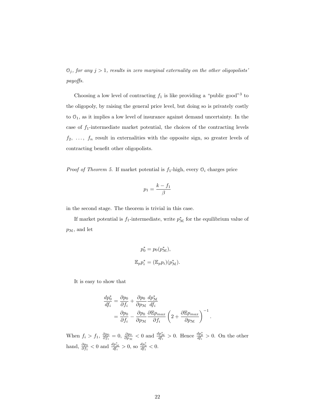$\mathcal{O}_j$ , for any  $j > 1$ , results in zero marginal externality on the other oligopolists' payoffs.

Choosing a low level of contracting  $f_1$  is like providing a "public good"<sup>3</sup> to the oligopoly, by raising the general price level, but doing so is privately costly to  $\mathcal{O}_1$ , as it implies a low level of insurance against demand uncertainty. In the case of  $f_1$ -intermediate market potential, the choices of the contracting levels  $f_2, \ldots, f_n$  result in externalities with the opposite sign, so greater levels of contracting benefit other oligopolists.

*Proof of Theorem 5.* If market potential is  $f_1$ -high, every  $\mathcal{O}_i$  charges price

$$
p_1 = \frac{k - f_1}{\beta}
$$

in the second stage. The theorem is trivial in this case.

If market potential is  $f_1$ -intermediate, write  $p^*_{\mathcal{M}}$  for the equilibrium value of  $p_{\mathcal{M}}$ , and let

$$
p_0^* = p_0(p_{\mathcal{M}}^*),
$$
  

$$
\mathbb{E}_p p_i^* = (\mathbb{E}_p p_i)(p_{\mathcal{M}}^*).
$$

It is easy to show that

$$
\frac{dp_0^*}{df_i} = \frac{\partial p_0}{\partial f_i} + \frac{\partial p_0}{\partial p_{\mathcal{M}}} \frac{dp_{\mathcal{M}}^*}{df_i}
$$
  
= 
$$
\frac{\partial p_0}{\partial f_i} - \frac{\partial p_0}{\partial p_{\mathcal{M}}} \frac{\partial \mathbb{E}p_{max}}{\partial f_i} \left(2 + \frac{\partial \mathbb{E}p_{max}}{\partial p_{\mathcal{M}}}\right)^{-1}.
$$

When  $f_i > f_1$ ,  $\frac{\partial p_0}{\partial f_i} = 0$ ,  $\frac{\partial p_0}{\partial p_{\mathcal{M}}} < 0$  and  $\frac{dp_{\mathcal{M}}^*}{df_i} > 0$ . Hence  $\frac{dp_0^*}{df_i} > 0$ . On the other hand,  $\frac{\partial p_0}{\partial f_1} < 0$  and  $\frac{dp_{\mathcal{M}}^*}{df_i} > 0$ , so  $\frac{dp_0^*}{df_1} < 0$ .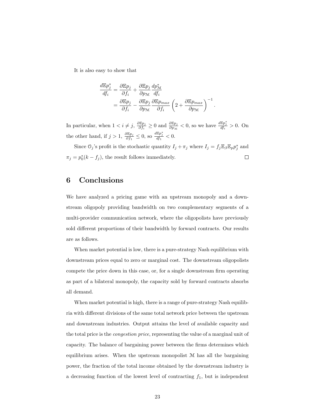It is also easy to show that

$$
\frac{d\mathbb{E}p_j^*}{df_i} = \frac{\partial \mathbb{E}p_j}{\partial f_i} + \frac{\partial \mathbb{E}p_j}{\partial p_{\mathcal{M}}} \frac{dp_{\mathcal{M}}^*}{df_i}
$$
  
= 
$$
\frac{\partial \mathbb{E}p_j}{\partial f_i} - \frac{\partial \mathbb{E}p_j}{\partial p_{\mathcal{M}}} \frac{\partial \mathbb{E}p_{max}}{\partial f_i} \left(2 + \frac{\partial \mathbb{E}p_{max}}{\partial p_{\mathcal{M}}}\right)^{-1}.
$$

In particular, when  $1 < i \neq j$ ,  $\frac{\partial \mathbb{E} p_j}{\partial f_j}$  $\frac{\partial \mathbb{E} p_j}{\partial f_i}$  ≥ 0 and  $\frac{\partial \mathbb{E} p_j}{\partial p_{\mathcal{M}}}$  < 0, so we have  $\frac{d \mathbb{E} p_j^*}{df_i}$  > 0. On the other hand, if  $j > 1$ ,  $\frac{\partial \mathbb{E}_{Pj}}{\partial f_1} \leq 0$ , so  $\frac{d \mathbb{E}_{Pj^*}}{df_1} < 0$ .

Since  $\mathcal{O}_j$ 's profit is the stochastic quantity  $I_j + \pi_j$  where  $I_j = f_j \mathbb{E}_{\beta} \mathbb{E}_{p} p_j^*$  and  $\pi_j = p_0^*(k - f_j)$ , the result follows immediately.  $\Box$ 

#### 6 Conclusions

We have analyzed a pricing game with an upstream monopoly and a downstream oligopoly providing bandwidth on two complementary segments of a multi-provider communication network, where the oligopolists have previously sold different proportions of their bandwidth by forward contracts. Our results are as follows.

When market potential is low, there is a pure-strategy Nash equilibrium with downstream prices equal to zero or marginal cost. The downstream oligopolists compete the price down in this case, or, for a single downstream firm operating as part of a bilateral monopoly, the capacity sold by forward contracts absorbs all demand.

When market potential is high, there is a range of pure-strategy Nash equilibria with different divisions of the same total network price between the upstream and downstream industries. Output attains the level of available capacity and the total price is the congestion price, representing the value of a marginal unit of capacity. The balance of bargaining power between the firms determines which equilibrium arises. When the upstream monopolist M has all the bargaining power, the fraction of the total income obtained by the downstream industry is a decreasing function of the lowest level of contracting  $f_1$ , but is independent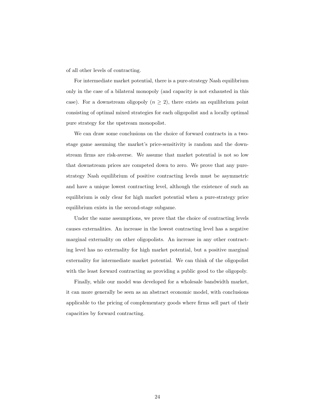of all other levels of contracting.

For intermediate market potential, there is a pure-strategy Nash equilibrium only in the case of a bilateral monopoly (and capacity is not exhausted in this case). For a downstream oligopoly  $(n \geq 2)$ , there exists an equilibrium point consisting of optimal mixed strategies for each oligopolist and a locally optimal pure strategy for the upstream monopolist.

We can draw some conclusions on the choice of forward contracts in a twostage game assuming the market's price-sensitivity is random and the downstream firms are risk-averse. We assume that market potential is not so low that downstream prices are competed down to zero. We prove that any purestrategy Nash equilibrium of positive contracting levels must be asymmetric and have a unique lowest contracting level, although the existence of such an equilibrium is only clear for high market potential when a pure-strategy price equilibrium exists in the second-stage subgame.

Under the same assumptions, we prove that the choice of contracting levels causes externalities. An increase in the lowest contracting level has a negative marginal externality on other oligopolists. An increase in any other contracting level has no externality for high market potential, but a positive marginal externality for intermediate market potential. We can think of the oligopolist with the least forward contracting as providing a public good to the oligopoly.

Finally, while our model was developed for a wholesale bandwidth market, it can more generally be seen as an abstract economic model, with conclusions applicable to the pricing of complementary goods where firms sell part of their capacities by forward contracting.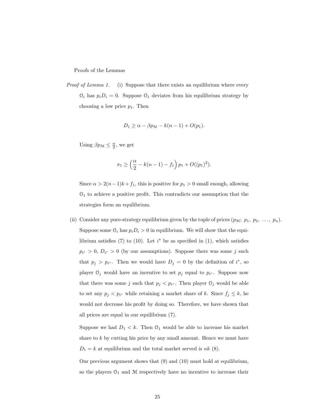Proofs of the Lemmas

Proof of Lemma 1. (i) Suppose that there exists an equilibrium where every  $\mathcal{O}_i$  has  $p_iD_i = 0$ . Suppose  $\mathcal{O}_1$  deviates from his equilibrium strategy by choosing a low price  $p_1$ . Then

$$
D_1 \ge \alpha - \beta p_{\mathcal{M}} - k(n-1) + O(p_1).
$$

Using  $\beta p_{\mathcal{M}} \leq \frac{\alpha}{2}$ , we get

$$
\pi_1 \ge \left(\frac{\alpha}{2} - k(n-1) - f_1\right) p_1 + O((p_1)^2).
$$

Since  $\alpha > 2(n-1)k + f_1$ , this is positive for  $p_1 > 0$  small enough, allowing  $\mathcal{O}_1$  to achieve a positive profit. This contradicts our assumption that the strategies form an equilibrium.

(ii) Consider any pure-strategy equilibrium given by the tuple of prices  $(p_M; p_1, p_2, \ldots, p_n)$ . Suppose some  $\mathfrak{O}_i$  has  $p_i D_i > 0$  in equilibrium. We will show that the equilibrium satisfies (7) to (10). Let  $i^*$  be as specified in (1), which satisfies  $p_{i^*} > 0, D_{i^*} > 0$  (by our assumptions). Suppose there was some j such that  $p_j > p_{i^*}$ . Then we would have  $D_j = 0$  by the definition of  $i^*$ , so player  $\mathcal{O}_j$  would have an incentive to set  $p_j$  equal to  $p_{i^*}$ . Suppose now that there was some j such that  $p_j < p_{i^*}$ . Then player  $\mathcal{O}_j$  would be able to set any  $p_j < p_{i^*}$  while retaining a market share of k. Since  $f_j \leq k$ , he would not decrease his profit by doing so. Therefore, we have shown that all prices are equal in our equilibrium (7).

Suppose we had  $D_1 < k$ . Then  $\mathcal{O}_1$  would be able to increase his market share to  $k$  by cutting his price by any small amount. Hence we must have  $D_1 = k$  at equilibrium and the total market served is nk (8).

Our previous argument shows that (9) and (10) must hold at equilibrium, so the players  $O_1$  and M respectively have no incentive to increase their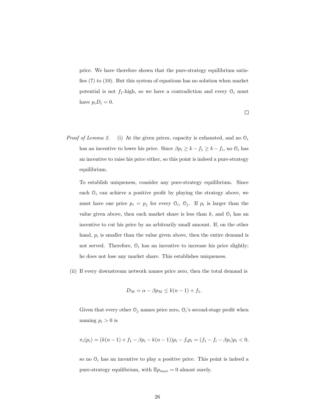price. We have therefore shown that the pure-strategy equilibrium satisfies (7) to (10). But this system of equations has no solution when market potential is not  $f_1$ -high, so we have a contradiction and every  $\mathcal{O}_i$  must have  $p_i D_i = 0$ .

- $\Box$
- *Proof of Lemma 2.* (i) At the given prices, capacity is exhausted, and no  $\mathcal{O}_i$ has an incentive to lower his price. Since  $\beta p_i \geq k - f_1 \geq k - f_i$ , no  $\mathcal{O}_i$  has an incentive to raise his price either, so this point is indeed a pure-strategy equilibrium.

To establish uniqueness, consider any pure-strategy equilibrium. Since each  $\mathcal{O}_i$  can achieve a positive profit by playing the strategy above, we must have one price  $p_i = p_j$  for every  $\mathcal{O}_i$ ,  $\mathcal{O}_j$ . If  $p_i$  is larger than the value given above, then each market share is less than  $k$ , and  $\mathcal{O}_i$  has an incentive to cut his price by an arbitrarily small amount. If, on the other hand,  $p_i$  is smaller than the value given above, then the entire demand is not served. Therefore,  $\mathcal{O}_i$  has an incentive to increase his price slightly; he does not lose any market share. This establishes uniqueness.

(ii) If every downstream network names price zero, then the total demand is

$$
D_{\mathcal{M}} = \alpha - \beta p_{\mathcal{M}} \leq k(n-1) + f_1.
$$

Given that every other  $\mathcal{O}_j$  names price zero,  $\mathcal{O}_i$ 's second-stage profit when naming  $p_i > 0$  is

$$
\pi_i(p_i) = (k(n-1) + f_1 - \beta p_i - k(n-1))p_i - f_i p_i = (f_1 - f_i - \beta p_i)p_i < 0,
$$

so no  $\mathcal{O}_i$  has an incentive to play a positive price. This point is indeed a pure-strategy equilibrium, with  $\mathbb{E}p_{max} = 0$  almost surely.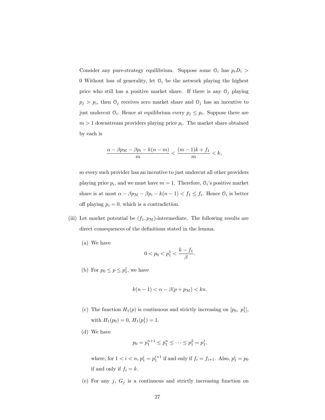Consider any pure-strategy equilibrium. Suppose some  $\mathfrak{O}_i$  has  $p_iD_i$   $>$ 0 Without loss of generality, let  $\mathcal{O}_i$  be the network playing the highest price who still has a positive market share. If there is any  $\mathcal{O}_j$  playing  $p_j > p_i$ , then  $\mathcal{O}_j$  receives zero market share and  $\mathcal{O}_j$  has an incentive to just undercut  $\mathcal{O}_i$ . Hence at equilibrium every  $p_j \leq p_i$ . Suppose there are  $m > 1$  downstream providers playing price  $p_i$ . The market share obtained by each is

$$
\frac{\alpha-\beta p_{\mathcal M}-\beta p_i-k(n-m)}{m}<\frac{(m-1)k+f_1}{m}
$$

so every such provider has an incentive to just undercut all other providers playing price  $p_i$ , and we must have  $m = 1$ . Therefore,  $\mathcal{O}_i$ 's positive market share is at most  $\alpha - \beta p_{\mathcal{M}} - \beta p_i - k(n-1) < f_1 \le f_i$ . Hence  $\mathcal{O}_i$  is better off playing  $p_i = 0$ , which is a contradiction.

- (iii) Let market potential be  $(f_1, p_M)$ -intermediate. The following results are direct consequences of the definitions stated in the lemma.
	- (a) We have

$$
0 < p_0 < p_1^1 < \frac{k - f_1}{\beta}.
$$

(b) For  $p_0 \leq p \leq p_1^1$ , we have

$$
k(n-1) < \alpha - \beta(p + p_{\mathcal{M}}) < kn.
$$

- (c) The function  $H_1(p)$  is continuous and strictly increasing on  $[p_0, p_1^1]$ , with  $H_1(p_0) = 0$ ,  $H_1(p_1^1) = 1$ .
- (d) We have

$$
p_0 = p_1^{n+1} \le p_1^n \le \dots \le p_1^2 = p_1^1,
$$

where, for  $1 < i < n$ ,  $p_1^i = p_1^{i+1}$  if and only if  $f_i = f_{i+1}$ . Also,  $p_1^i = p_0$ if and only if  $f_i = k$ .

(e) For any  $j$ ,  $G_j$  is a continuous and strictly increasing function on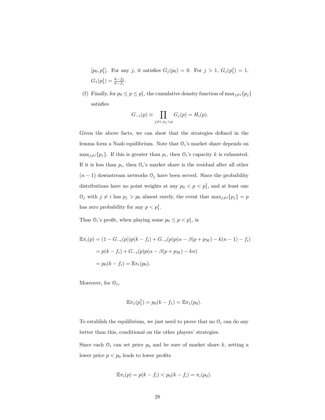$[p_0, p_1^j]$ . For any j, it satisfies  $G_j(p_0) = 0$ . For  $j > 1$ ,  $G_j(p_1^j) = 1$ .  $G_1(p_1^1) = \frac{k - f_2}{k - f_1}.$ 

(f) Finally, for  $p_0 \leq p \leq p_1^i$ , the cumulative density function of  $\max_{j \neq i} \{p_j\}$ satisfies

$$
G_{-i}(p) \equiv \prod_{j \neq i, p_j > p} G_j(p) = H_i(p).
$$

Given the above facts, we can show that the strategies defined in the lemma form a Nash equilibrium. Note that  $\mathcal{O}_i$ 's market share depends on  $\max_{j\neq i} \{p_j\}.$  If this is greater than  $p_i$ , then  $\mathcal{O}_i$ 's capacity k is exhausted. If it is less than  $p_i$ , then  $\mathcal{O}_i$ 's market share is the residual after all other  $(n-1)$  downstream networks  $\mathcal{O}_j$  have been served. Since the probability distributions have no point weights at any  $p_0 < p < p_1^1$ , and at least one  $\mathcal{O}_j$  with  $j \neq i$  has  $p_j > p_0$  almost surely, the event that  $\max_{j \neq i} \{p_j\} = p$ has zero probability for any  $p < p_1^1$ .

Thus  $\mathcal{O}_i$ 's profit, when playing some  $p_0 \leq p < p_1^i$ , is

$$
\mathbb{E}\pi_i(p) = (1 - G_{-i}(p))p(k - f_i) + G_{-i}(p)p(\alpha - \beta(p + p_{\mathcal{M}}) - k(n - 1) - f_i)
$$
  
=  $p(k - f_i) + G_{-i}(p)p(\alpha - \beta(p + p_{\mathcal{M}}) - kn)$   
=  $p_0(k - f_i) = \mathbb{E}\pi_i(p_0).$ 

Moreover, for  $\mathcal{O}_1$ ,

$$
\mathbb{E}\pi_1(p_1^1) = p_0(k - f_1) = \mathbb{E}\pi_1(p_0).
$$

To establish the equilibrium, we just need to prove that no  $\mathcal{O}_i$  can do any better than this, conditional on the other players' strategies.

Since each  $\mathcal{O}_i$  can set price  $p_0$  and be sure of market share k, setting a lower price  $p < p_0$  leads to lower profits

$$
\mathbb{E}\pi_i(p) = p(k - f_i) < p_0(k - f_i) = \pi_i(p_0).
$$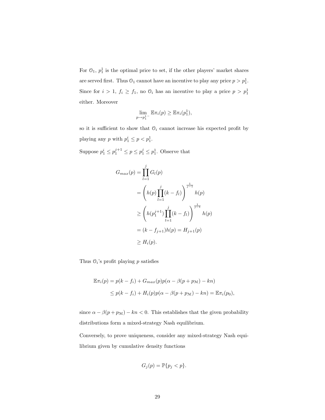For  $\mathcal{O}_1$ ,  $p_1^1$  is the optimal price to set, if the other players' market shares are served first. Thus  $\mathcal{O}_1$  cannot have an incentive to play any price  $p > p_1^1$ . Since for  $i > 1$ ,  $f_i \ge f_1$ , no  $\mathcal{O}_i$  has an incentive to play a price  $p > p_1^1$ either. Moreover

$$
\lim_{p \to p_1^1^-} \mathbb{E} \pi_i(p) \geq \mathbb{E} \pi_i(p_1^1),
$$

so it is sufficient to show that  $\mathcal{O}_i$  cannot increase his expected profit by playing any p with  $p_1^i \leq p < p_1^1$ .

Suppose  $p_1^i \leq p_1^{j+1} \leq p \leq p_1^j \leq p_1^1$ . Observe that

$$
G_{max}(p) = \prod_{l=1}^{j} G_{l}(p)
$$
  
=  $\left( h(p) \prod_{l=1}^{j} (k - f_{l}) \right)^{\frac{1}{j-1}} h(p)$   
 $\ge \left( h(p_1^{j+1}) \prod_{l=1}^{j} (k - f_{l}) \right)^{\frac{1}{j-1}} h(p)$   
=  $(k - f_{j+1}) h(p) = H_{j+1}(p)$   
 $\ge H_i(p).$ 

Thus  $\mathcal{O}_i$ 's profit playing p satisfies

$$
\mathbb{E}\pi_i(p) = p(k - f_i) + G_{max}(p)p(\alpha - \beta(p + p_{\mathcal{M}}) - kn)
$$
  
\n
$$
\leq p(k - f_i) + H_i(p)p(\alpha - \beta(p + p_{\mathcal{M}}) - kn) = \mathbb{E}\pi_i(p_0),
$$

since  $\alpha - \beta(p + p_M) - kn < 0$ . This establishes that the given probability distributions form a mixed-strategy Nash equilibrium.

Conversely, to prove uniqueness, consider any mixed-strategy Nash equilibrium given by cumulative density functions

$$
G_j(p) = \mathbb{P}\{p_j < p\}.
$$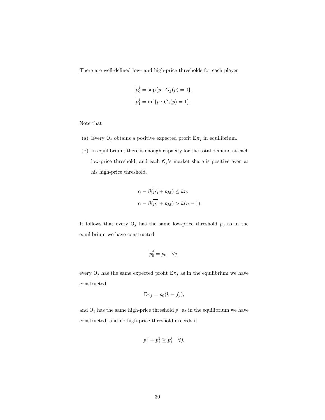There are well-defined low- and high-price thresholds for each player

$$
\overline{p_0^j} = \sup\{p : G_j(p) = 0\},\
$$
  

$$
\overline{p_1^j} = \inf\{p : G_j(p) = 1\}.
$$

Note that

- (a) Every  $\mathcal{O}_j$  obtains a positive expected profit  $\mathbb{E} \pi_j$  in equilibrium.
- (b) In equilibrium, there is enough capacity for the total demand at each low-price threshold, and each  $\mathbb{O}_j$  's market share is positive even at his high-price threshold.

$$
\alpha - \beta(\overline{p_0^j} + p_{\mathcal{M}}) \le kn,
$$
  

$$
\alpha - \beta(\overline{p_1^j} + p_{\mathcal{M}}) > k(n-1).
$$

It follows that every  $\mathcal{O}_j$  has the same low-price threshold  $p_0$  as in the equilibrium we have constructed

$$
\overline{p_0^j} = p_0 \quad \forall j;
$$

every  $\mathcal{O}_j$  has the same expected profit  $\mathbb{E} \pi_j$  as in the equilibrium we have constructed

$$
\mathbb{E}\pi_j = p_0(k - f_j);
$$

and  $\mathcal{O}_1$  has the same high-price threshold  $p_1^1$  as in the equilibrium we have constructed, and no high-price threshold exceeds it

$$
\overline{p_1^1} = p_1^1 \ge \overline{p_1^j} \quad \forall j.
$$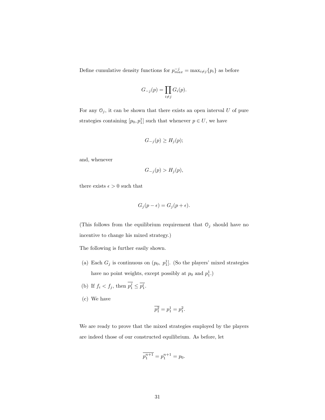Define cumulative density functions for  $p_{max}^{-j} = \max_{i \neq j} \{p_i\}$  as before

$$
G_{-j}(p) = \prod_{i \neq j} G_i(p).
$$

For any  $\mathcal{O}_j$ , it can be shown that there exists an open interval U of pure strategies containing  $[p_0, p_1]$  such that whenever  $p \in U$ , we have

$$
G_{-j}(p) \ge H_j(p);
$$

and, whenever

$$
G_{-j}(p) > H_j(p),
$$

there exists  $\epsilon > 0$  such that

$$
G_j(p - \epsilon) = G_j(p + \epsilon).
$$

(This follows from the equilibrium requirement that  $\mathbb{O}_j$  should have no incentive to change his mixed strategy.)

The following is further easily shown.

- (a) Each  $G_j$  is continuous on  $(p_0, p_1]$ . (So the players' mixed strategies have no point weights, except possibly at  $p_0$  and  $p_1^1$ .)
- (b) If  $f_i < f_j$ , then  $p_1^j \leq \overline{p_1^i}$ .
- (c) We have

$$
\overline{p_1^2} = p_1^1 = p_1^2.
$$

We are ready to prove that the mixed strategies employed by the players are indeed those of our constructed equilibrium. As before, let

$$
\overline{p_1^{n+1}} = p_1^{n+1} = p_0.
$$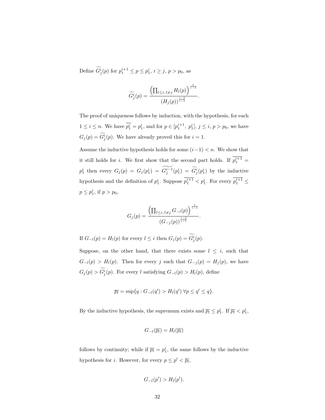Define  $\widetilde{G}_j^i(p)$  for  $p_1^{i+1} \le p \le p_1^i$ ,  $i \ge j$ ,  $p > p_0$ , as

$$
\widetilde{G}_j^i(p) = \frac{\left(\prod_{l \leq i, l \neq j} H_l(p)\right)^{\frac{1}{i-1}}}{\left(H_j(p)\right)^{\frac{i-2}{i-1}}}.
$$

The proof of uniqueness follows by induction, with the hypothesis, for each  $1 \le i \le n$ . We have  $\overline{p_1^i} = p_1^i$ , and for  $p \in [p_1^{i+1}, p_1^i]$ ,  $j \le i, p > p_0$ , we have  $G_j(p) = \widetilde{G}_j^i(p)$ . We have already proved this for  $i = 1$ .

Assume the inductive hypothesis holds for some  $(i-1) < n$ . We show that it still holds for *i*. We first show that the second part holds. If  $p_1^{i+1}$  =  $p_1^i$  then every  $G_j(p) = G_j(p_1^i) = \widetilde{G_j^{i-1}}(p_1^i) = \widetilde{G_j^i}(p_1^i)$  by the inductive hypothesis and the definition of  $p_1^i$ . Suppose  $p_1^{i+1} < p_1^i$ . For every  $p_1^{i+1} \le$  $p \le p_1^i$ , if  $p > p_0$ ,

$$
G_j(p) = \frac{\left(\prod_{l \leq i, l \neq j} G_{-l}(p)\right)^{\frac{1}{i-1}}}{\left(G_{-j}(p)\right)^{\frac{i-2}{i-1}}}.
$$

If  $G_{-l}(p) = H_l(p)$  for every  $l \leq i$  then  $G_j(p) = \widetilde{G}_j^i(p)$ .

Suppose, on the other hand, that there exists some  $l \leq i$ , such that  $G_{-l}(p) > H_l(p)$ . Then for every j such that  $G_{-j}(p) = H_j(p)$ , we have  $G_j(p) > \widetilde{G}_j^i(p)$ . For every l satisfying  $G_{-l}(p) > H_l(p)$ , define

$$
\overline{p_l} = \sup\{q : G_{-l}(q') > H_l(q') \,\forall p \le q' \le q\}.
$$

By the inductive hypothesis, the supremum exists and  $\overline{p_l} \leq p_1^i$ . If  $\overline{p_l} < p_1^i$ ,

$$
G_{-l}(\overline{p_l})=H_l(\overline{p_l})
$$

follows by continuity; while if  $\overline{p_l} = p_1^i$ , the same follows by the inductive hypothesis for *i*. However, for every  $p \leq p' < \overline{p_i}$ ,

$$
G_{-l}(p') > H_l(p').
$$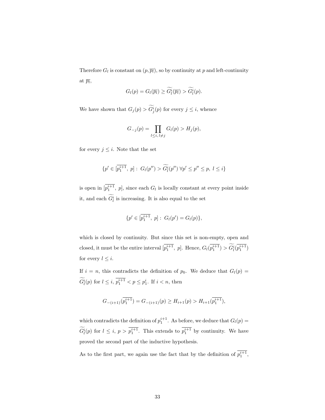Therefore  $G_l$  is constant on  $(p, \overline{p_l})$ , so by continuity at p and left-continuity at  $\overline{p_l}$ ,

$$
G_l(p) = G_l(\overline{p_l}) \ge \widetilde{G_l^i}(\overline{p_l}) > \widetilde{G_l^i}(p).
$$

We have shown that  $G_j(p) > \widetilde{G}_j^i(p)$  for every  $j \leq i$ , whence

$$
G_{-j}(p) = \prod_{l \le i, l \ne j} G_l(p) > H_j(p),
$$

for every  $j \leq i$ . Note that the set

$$
\{p' \in [\overline{p_1^{i+1}}, p] : G_l(p'') > \widetilde{G}_l^i(p'') \ \forall p' \le p'' \le p, \ l \le i\}
$$

is open in  $[p_1^{i+1}, p]$ , since each  $G_l$  is locally constant at every point inside it, and each  $\widetilde{G}_l^i$  is increasing. It is also equal to the set

$$
\{p' \in [\overline{p_1^{i+1}}, p]: G_l(p') = G_l(p)\},\
$$

which is closed by continuity. But since this set is non-empty, open and closed, it must be the entire interval  $\left[\overline{p_1^{i+1}}, p\right]$ . Hence,  $G_l(\overline{p_1^{i+1}}) > \widetilde{G}_l^i(\overline{p_1^{i+1}})$ for every  $l \leq i$ .

If  $i = n$ , this contradicts the definition of  $p_0$ . We deduce that  $G_l(p) =$  $\widetilde{G}_l^i(p)$  for  $l \leq i$ ,  $\overline{p_1^{i+1}} < p \leq p_1^i$ . If  $i < n$ , then

$$
G_{-(i+1)}(\overline{p_1^{i+1}}) = G_{-(i+1)}(p) \ge H_{i+1}(p) > H_{i+1}(\overline{p_1^{i+1}}),
$$

which contradicts the definition of  $p_1^{i+1}$ . As before, we deduce that  $G_l(p)$  =  $\widetilde{G}_l^i(p)$  for  $l \leq i, p > \overline{p_1^{i+1}}$ . This extends to  $\overline{p_1^{i+1}}$  by continuity. We have proved the second part of the inductive hypothesis.

As to the first part, we again use the fact that by the definition of  $p_1^{i+1}$ ,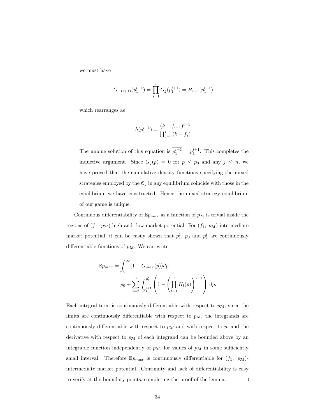we must have

$$
G_{-(i+1)}(\overline{p_1^{i+1}}) = \prod_{j=1}^i G_j(\overline{p_1^{i+1}}) = H_{i+1}(\overline{p_1^{i+1}}),
$$

which rearranges as

$$
h(\overline{p_1^{i+1}}) = \frac{(k - f_{i+1})^{i-1}}{\prod_{j=1}^i (k - f_j)}.
$$

The unique solution of this equation is  $p_1^{i+1} = p_1^{i+1}$ . This completes the inductive argument. Since  $G_j(p) = 0$  for  $p \leq p_0$  and any  $j \leq n$ , we have proved that the cumulative density functions specifying the mixed strategies employed by the  $\mathcal{O}_j$  in any equilibrium coincide with those in the equilibrium we have constructed. Hence the mixed-strategy equilibrium of our game is unique.

Continuous differentiability of  $\mathbb{E}p_{max}$  as a function of  $p_{\mathcal{M}}$  is trivial inside the regions of  $(f_1, p_M)$ -high and -low market potential. For  $(f_1, p_M)$ -intermediate market potential, it can be easily shown that  $p_1^1$ ,  $p_0$  and  $p_1^i$  are continuously differentiable functions of  $p_{\mathcal{M}}$ . We can write

$$
\mathbb{E}p_{max} = \int_0^\infty (1 - G_{max}(p)) dp
$$
  
=  $p_0 + \sum_{i=2}^n \int_{p_1^{i+1}}^{p_1^i} \left(1 - \left(\prod_{l=1}^i H_l(p)\right)^{\frac{1}{i-1}}\right) dp.$ 

Each integral term is continuously differentiable with respect to  $p_{\mathcal{M}}$ , since the limits are continuously differentiable with respect to  $p_{\mathcal{M}}$ , the integrands are continuously differentiable with respect to  $p<sub>M</sub>$  and with respect to p, and the derivative with respect to  $p_M$  of each integrand can be bounded above by an integrable function independently of  $p_{\mathcal{M}}$ , for values of  $p_{\mathcal{M}}$  in some sufficiently small interval. Therefore  $\mathbb{E}p_{max}$  is continuously differentiable for  $(f_1, p_M)$ intermediate market potential. Continuity and lack of differentiability is easy to verify at the boundary points, completing the proof of the lemma.  $\Box$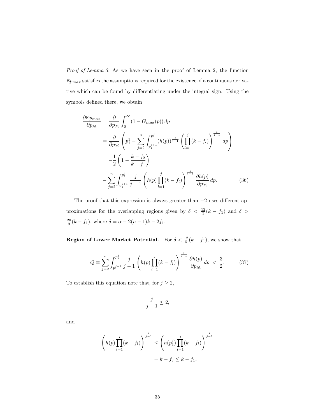Proof of Lemma 3. As we have seen in the proof of Lemma 2, the function  $\mathbb{E} p_{max}$  satisfies the assumptions required for the existence of a continuous derivative which can be found by differentiating under the integral sign. Using the symbols defined there, we obtain

$$
\frac{\partial \mathbb{E} p_{max}}{\partial p_{\mathcal{M}}} = \frac{\partial}{\partial p_{\mathcal{M}}} \int_0^{\infty} (1 - G_{max}(p)) dp
$$
  
\n
$$
= \frac{\partial}{\partial p_{\mathcal{M}}} \left( p_1^1 - \sum_{j=2}^n \int_{p_1^{j+1}}^{p_1^j} (h(p))^{\frac{j}{j-1}} \left( \prod_{l=1}^j (k - f_l) \right)^{\frac{1}{j-1}} dp \right)
$$
  
\n
$$
= -\frac{1}{2} \left( 1 - \frac{k - f_2}{k - f_1} \right)
$$
  
\n
$$
- \sum_{j=2}^n \int_{p_1^{j+1}}^{p_1^j} \frac{j}{j-1} \left( h(p) \prod_{l=1}^j (k - f_l) \right)^{\frac{1}{j-1}} \frac{\partial h(p)}{\partial p_{\mathcal{M}}} dp.
$$
 (36)

The proof that this expression is always greater than  $-2$  uses different approximations for the overlapping regions given by  $\delta < \frac{12}{5}(k-f_1)$  and  $\delta >$  $\frac{20}{9}(k-f_1)$ , where  $\delta = \alpha - 2(n-1)k - 2f_1$ .

**Region of Lower Market Potential.** For  $\delta < \frac{12}{5}(k - f_1)$ , we show that

$$
Q \equiv \sum_{j=2}^{n} \int_{p_1^{j+1}}^{p_1^j} \frac{j}{j-1} \left( h(p) \prod_{l=1}^j (k - f_l) \right)^{\frac{1}{j-1}} \frac{\partial h(p)}{\partial p_{\mathcal{M}}} \, dp < \frac{3}{2}.\tag{37}
$$

To establish this equation note that, for  $j\geq 2,$ 

$$
\frac{j}{j-1} \le 2,
$$

and

$$
\left(h(p)\prod_{l=1}^{j}(k-f_l)\right)^{\frac{1}{j-1}} \leq \left(h(p_1^j)\prod_{l=1}^{j}(k-f_l)\right)^{\frac{1}{j-1}}
$$

$$
= k - f_j \leq k - f_1.
$$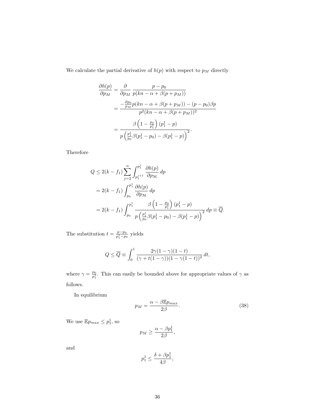We calculate the partial derivative of  $h(p)$  with respect to  $p_M$  directly

$$
\frac{\partial h(p)}{\partial p_M} = \frac{\partial}{\partial p_M} \frac{p - p_0}{p(kn - \alpha + \beta(p + p_M))}
$$

$$
= \frac{-\frac{\partial p_0}{p_M} p(kn - \alpha + \beta(p + p_M)) - (p - p_0)\beta p}{p^2(kn - \alpha + \beta(p + p_M))^2}
$$

$$
= \frac{\beta \left(1 - \frac{p_0}{p_1}\right) (p_1^1 - p)}{p \left(\frac{p_1^1}{p_0} \beta(p_1^1 - p_0) - \beta(p_1^1 - p)\right)^2}.
$$

Therefore

$$
Q \le 2(k - f_1) \sum_{j=2}^{n} \int_{p_1^{j+1}}^{p_1^{j}} \frac{\partial h(p)}{\partial p_{\mathcal{M}}} dp
$$
  
= 2(k - f\_1) \int\_{p\_0}^{p\_1^{1}} \frac{\partial h(p)}{\partial p\_{\mathcal{M}}} dp  
= 2(k - f\_1) \int\_{p\_0}^{p\_1^{1}} \frac{\beta \left(1 - \frac{p\_0}{p\_1^{1}}\right) (p\_1^{1} - p)}{p \left(\frac{p\_1^{1}}{p\_0} \beta (p\_1^{1} - p\_0) - \beta (p\_1^{1} - p)\right)^2} dp \equiv \overline{Q}.

The substitution  $t = \frac{p - p_0}{p_1^1 - p_0}$  yields

$$
Q \leq \overline{Q} \equiv \int_0^1 \frac{2\gamma(1-\gamma)(1-t)}{(\gamma+t(1-\gamma))(1-\gamma(1-t))^2} dt,
$$

where  $\gamma = \frac{p_0}{p_1^1}$ . This can easily be bounded above for appropriate values of  $\gamma$  as follows.

In equilibrium

$$
p_M = \frac{\alpha - \beta \mathbb{E} p_{max}}{2\beta}.
$$
\n(38)

We use  $\mathbb{E} p_{max} \leq p_1^1$ , so

$$
p_M \ge \frac{\alpha - \beta p_1^1}{2\beta},
$$

and

$$
p^1_1 \leq \frac{\delta+\beta p^1_1}{4\beta},
$$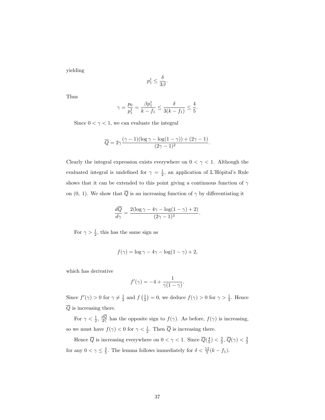yielding

$$
p_1^1 \le \frac{\delta}{3\beta}.
$$

Thus

$$
\gamma = \frac{p_0}{p_1^1} = \frac{\beta p_1^1}{k - f_1} \le \frac{\delta}{3(k - f_1)} \le \frac{4}{5}.
$$

Since  $0 < \gamma < 1$ , we can evaluate the integral

$$
\overline{Q} = 2\gamma \frac{(\gamma - 1)(\log \gamma - \log(1 - \gamma)) + (2\gamma - 1)}{(2\gamma - 1)^2}.
$$

Clearly the integral expression exists everywhere on  $0 < \gamma < 1$ . Although the evaluated integral is undefined for  $\gamma = \frac{1}{2}$ , an application of L'Hôpital's Rule shows that it can be extended to this point giving a continuous function of  $\gamma$ on (0, 1). We show that  $\overline{Q}$  is an increasing function of  $\gamma$  by differentiating it

$$
\frac{d\overline{Q}}{d\gamma} = \frac{2(\log \gamma - 4\gamma - \log(1 - \gamma) + 2)}{(2\gamma - 1)^3}.
$$

For  $\gamma > \frac{1}{2}$ , this has the same sign as

$$
f(\gamma) = \log \gamma - 4\gamma - \log(1 - \gamma) + 2,
$$

which has derivative

$$
f'(\gamma) = -4 + \frac{1}{\gamma(1-\gamma)}.
$$

Since  $f'(\gamma) > 0$  for  $\gamma \neq \frac{1}{2}$  and f  $\left(\frac{1}{2}\right)$ ) = 0, we deduce  $f(\gamma) > 0$  for  $\gamma > \frac{1}{2}$ . Hence  $\overline{Q}$  is increasing there.

For  $\gamma < \frac{1}{2}$ ,  $\frac{dQ}{d\gamma}$  has the opposite sign to  $f(\gamma)$ . As before,  $f(\gamma)$  is increasing, so we must have  $f(\gamma) < 0$  for  $\gamma < \frac{1}{2}$ . Then  $\overline{Q}$  is increasing there.

Hence  $\overline{Q}$  is increasing everywhere on  $0 < \gamma < 1$ . Since  $\overline{Q}(\frac{4}{5}) < \frac{3}{2}$ ,  $\overline{Q}(\gamma) < \frac{3}{2}$ for any  $0 < \gamma \leq \frac{4}{5}$ . The lemma follows immediately for  $\delta < \frac{12}{5}(k-f_1)$ .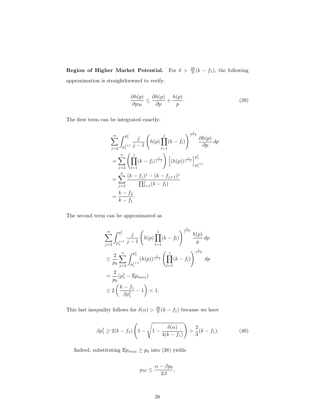**Region of Higher Market Potential.** For  $\delta > \frac{20}{9}(k - f_1)$ , the following approximation is straightforward to verify:

$$
\frac{\partial h(p)}{\partial p_{\mathcal{M}}} \le \frac{\partial h(p)}{\partial p} + \frac{h(p)}{p}.\tag{39}
$$

The first term can be integrated exactly:

$$
\sum_{j=2}^{n} \int_{p_1^{j+1}}^{p_1^j} \frac{j}{j-1} \left( h(p) \prod_{l=1}^j (k - f_l) \right)^{\frac{1}{j-1}} \frac{\partial h(p)}{\partial p} dp
$$
  
= 
$$
\sum_{j=2}^{n} \left( \prod_{l=1}^j (k - f_l)^{\frac{1}{j-1}} \right) \left[ (h(p))^{\frac{j}{j-1}} \right]_{p_1^{j+1}}^{p_1^j}
$$
  
= 
$$
\sum_{j=2}^{n} \frac{(k - f_j)^j - (k - f_{j+1})^j}{\prod_{l=1}^j (k - f_l)}
$$
  
= 
$$
\frac{k - f_2}{k - f_1}.
$$

The second term can be approximated as

$$
\sum_{j=2}^{n} \int_{p_1^{j+1}}^{p_1^j} \frac{j}{j-1} \left( h(p) \prod_{l=1}^j (k - f_l) \right)^{\frac{1}{j-1}} \frac{h(p)}{p} dp
$$
  
\n
$$
\leq \frac{2}{p_0} \sum_{j=2}^{n} \int_{p_1^{j+1}}^{p_1^j} (h(p))^{\frac{j}{j-1}} \left( \prod_{l=1}^j (k - f_l) \right)^{\frac{1}{j-1}} dp
$$
  
\n
$$
= \frac{2}{p_0} (p_1^1 - \mathbb{E} p_{max})
$$
  
\n
$$
\leq 2 \left( \frac{k - f_1}{\beta p_1^1} - 1 \right) < 1.
$$

This last inequality follows for  $\delta(\alpha) > \frac{20}{9}(k - f_1)$  because we have

$$
\beta p_1^1 \ge 2(k - f_1) \left( 1 - \sqrt{1 - \frac{\delta(\alpha)}{4(k - f_1)}} \right) > \frac{2}{3}(k - f_1). \tag{40}
$$

Indeed, substituting  $\mathbb{E} p_{max} \geq p_0$  into (38) yields

$$
p_M \leq \frac{\alpha - \beta p_0}{2\beta},
$$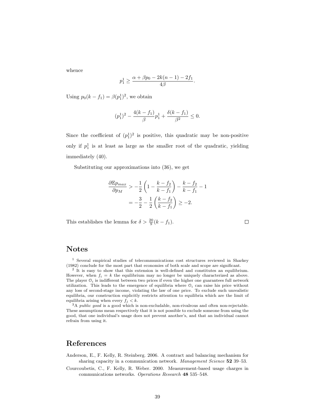whence

$$
p_1^1 \ge \frac{\alpha + \beta p_0 - 2k(n-1) - 2f_1}{4\beta}.
$$

Using  $p_0(k - f_1) = \beta(p_1^1)^2$ , we obtain

$$
(p_1^1)^2 - \frac{4(k - f_1)}{\beta} p_1^1 + \frac{\delta(k - f_1)}{\beta^2} \le 0.
$$

Since the coefficient of  $(p_1^1)^2$  is positive, this quadratic may be non-positive only if  $p_1^1$  is at least as large as the smaller root of the quadratic, yielding immediately (40).

Substituting our approximations into (36), we get

$$
\frac{\partial \mathbb{E} p_{max}}{\partial p_M} > -\frac{1}{2} \left( 1 - \frac{k - f_2}{k - f_1} \right) - \frac{k - f_2}{k - f_1} - 1
$$

$$
= -\frac{3}{2} - \frac{1}{2} \left( \frac{k - f_2}{k - f_1} \right) \ge -2.
$$

 $\Box$ 

This establishes the lemma for  $\delta > \frac{20}{9}(k - f_1)$ .

#### Notes

<sup>1</sup> Several empirical studies of telecommunications cost structures reviewed in Sharkey (1982) conclude for the most part that economies of both scale and scope are significant.

<sup>2</sup> It is easy to show that this extension is well-defined and constitutes an equilibrium. However, when  $f_i = k$  the equilibrium may no longer be uniquely characterized as above. The player  $\mathcal{O}_i$  is indifferent between two prices if even the higher one guarantees full network utilization. This leads to the emergence of equilibria where  $\mathcal{O}_i$  can raise his price without any loss of second-stage income, violating the law of one price. To exclude such unrealistic equilibria, our construction explicitly restricts attention to equilibria which are the limit of equilibria arising when every  $f_j < k$ .

 $^3\mathrm{A}$  public good is a good which is non-excludable, non-rivalrous and often non-rejectable. These assumptions mean respectively that it is not possible to exclude someone from using the good, that one individual's usage does not prevent another's, and that an individual cannot refrain from using it.

#### References

- Anderson, E., F. Kelly, R. Steinberg. 2006. A contract and balancing mechanism for sharing capacity in a communication network. Management Science 52 39–53.
- Courcoubetis, C., F. Kelly, R. Weber. 2000. Measurement-based usage charges in communications networks. Operations Research 48 535–548.